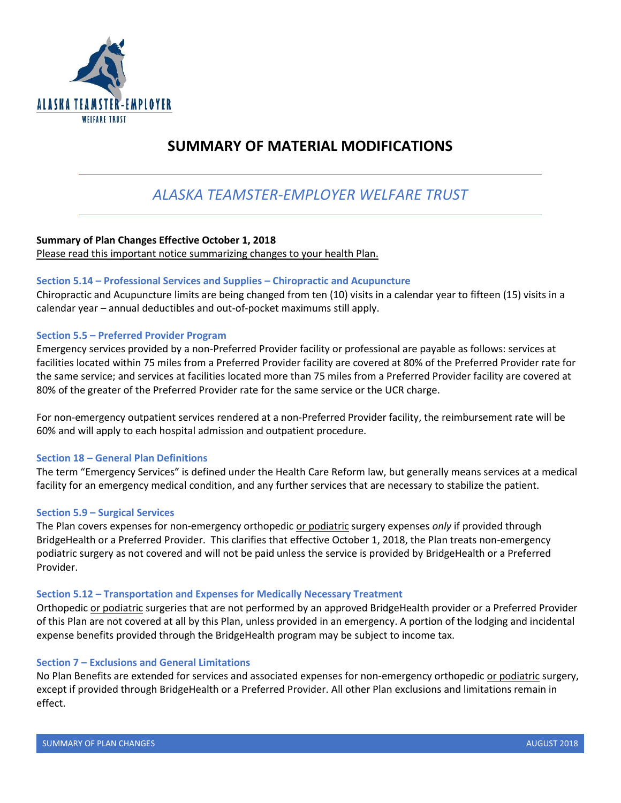

## **SUMMARY OF MATERIAL MODIFICATIONS**

# *ALASKA TEAMSTER-EMPLOYER WELFARE TRUST*

## **Summary of Plan Changes Effective October 1, 2018**

Please read this important notice summarizing changes to your health Plan.

### **Section 5.14 – Professional Services and Supplies – Chiropractic and Acupuncture**

Chiropractic and Acupuncture limits are being changed from ten (10) visits in a calendar year to fifteen (15) visits in a calendar year – annual deductibles and out-of-pocket maximums still apply.

#### **Section 5.5 – Preferred Provider Program**

Emergency services provided by a non-Preferred Provider facility or professional are payable as follows: services at facilities located within 75 miles from a Preferred Provider facility are covered at 80% of the Preferred Provider rate for the same service; and services at facilities located more than 75 miles from a Preferred Provider facility are covered at 80% of the greater of the Preferred Provider rate for the same service or the UCR charge.

For non-emergency outpatient services rendered at a non-Preferred Provider facility, the reimbursement rate will be 60% and will apply to each hospital admission and outpatient procedure.

#### **Section 18 – General Plan Definitions**

The term "Emergency Services" is defined under the Health Care Reform law, but generally means services at a medical facility for an emergency medical condition, and any further services that are necessary to stabilize the patient.

#### **Section 5.9 – Surgical Services**

The Plan covers expenses for non-emergency orthopedic or podiatric surgery expenses *only* if provided through BridgeHealth or a Preferred Provider. This clarifies that effective October 1, 2018, the Plan treats non-emergency podiatric surgery as not covered and will not be paid unless the service is provided by BridgeHealth or a Preferred Provider.

#### **Section 5.12 – Transportation and Expenses for Medically Necessary Treatment**

Orthopedic or podiatric surgeries that are not performed by an approved BridgeHealth provider or a Preferred Provider of this Plan are not covered at all by this Plan, unless provided in an emergency. A portion of the lodging and incidental expense benefits provided through the BridgeHealth program may be subject to income tax.

## **Section 7 – Exclusions and General Limitations**

No Plan Benefits are extended for services and associated expenses for non-emergency orthopedic or podiatric surgery, except if provided through BridgeHealth or a Preferred Provider. All other Plan exclusions and limitations remain in effect.